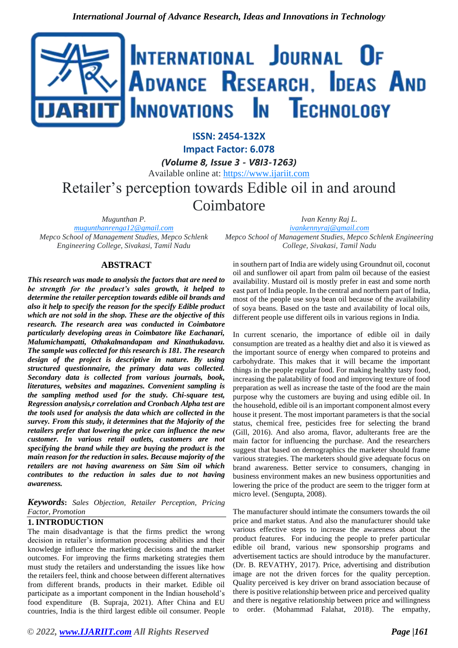

**ISSN: 2454-132X Impact Factor: 6.078**

*(Volume 8, Issue 3 - V8I3-1263)* Available online at: [https://www.ijariit.com](https://www.ijariit.com/?utm_source=pdf&utm_medium=edition&utm_campaign=OmAkSols&utm_term=V8I3-1263) Retailer's perception towards Edible oil in and around **Coimbatore** 

*Mugunthan P. [mugunthanrenga12@gmail.com](mailto:mugunthanrenga12@gmail.com) Mepco School of Management Studies, Mepco Schlenk Engineering College, Sivakasi, Tamil Nadu*

# **ABSTRACT**

*This research was made to analysis the factors that are need to be strength for the product's sales growth, it helped to determine the retailer perception towards edible oil brands and also it help to specify the reason for the specify Edible product which are not sold in the shop. These are the objective of this research. The research area was conducted in Coimbatore particularly developing areas in Coimbatore like Eachanari, Malumichampatti, Othakalmandapam and Kinathukadavu. The sample was collected for this research is 181. The research design of the project is descriptive in nature. By using structured questionnaire, the primary data was collected. Secondary data is collected from various journals, book, literatures, websites and magazines. Convenient sampling is the sampling method used for the study. Chi-square test, Regression analysis,r correlation and Cronbach Alpha test are the tools used for analysis the data which are collected in the survey. From this study, it determines that the Majority of the retailers prefer that lowering the price can influence the new customer. In various retail outlets, customers are not specifying the brand while they are buying the product is the main reason for the reduction in sales. Because majority of the retailers are not having awareness on Sim Sim oil which contributes to the reduction in sales due to not having awareness.*

*Keywords***:** *Sales Objection, Retailer Perception, Pricing Factor, Promotion*

#### **1. INTRODUCTION**

The main disadvantage is that the firms predict the wrong decision in retailer's information processing abilities and their knowledge influence the marketing decisions and the market outcomes. For improving the firms marketing strategies them must study the retailers and understanding the issues like how the retailers feel, think and choose between different alternatives from different brands, products in their market. Edible oil participate as a important component in the Indian household's food expenditure (B. Supraja, 2021). After China and EU countries, India is the third largest edible oil consumer. People

*Ivan Kenny Raj L. [ivankennyraj@gmail.com](mailto:ivankennyraj@gmail.com) Mepco School of Management Studies, Mepco Schlenk Engineering College, Sivakasi, Tamil Nadu*

in southern part of India are widely using Groundnut oil, coconut oil and sunflower oil apart from palm oil because of the easiest availability. Mustard oil is mostly prefer in east and some north east part of India people. In the central and northern part of India, most of the people use soya bean oil because of the availability of soya beans. Based on the taste and availability of local oils, different people use different oils in various regions in India.

In current scenario, the importance of edible oil in daily consumption are treated as a healthy diet and also it is viewed as the important source of energy when compared to proteins and carbohydrate. This makes that it will became the important things in the people regular food. For making healthy tasty food, increasing the palatability of food and improving texture of food preparation as well as increase the taste of the food are the main purpose why the customers are buying and using edible oil. In the household, edible oil is an important component almost every house it present. The most important parameters is that the social status, chemical free, pesticides free for selecting the brand (Gill, 2016). And also aroma, flavor, adulterants free are the main factor for influencing the purchase. And the researchers suggest that based on demographics the marketer should frame various strategies. The marketers should give adequate focus on brand awareness. Better service to consumers, changing in business environment makes an new business opportunities and lowering the price of the product are seem to the trigger form at micro level. (Sengupta, 2008).

The manufacturer should intimate the consumers towards the oil price and market status. And also the manufacturer should take various effective steps to increase the awareness about the product features. For inducing the people to prefer particular edible oil brand, various new sponsorship programs and advertisement tactics are should introduce by the manufacturer. (Dr. B. REVATHY, 2017). Price, advertising and distribution image are not the driven forces for the quality perception. Quality perceived is key driver on brand association because of there is positive relationship between price and perceived quality and there is negative relationship between price and willingness to order. (Mohammad Falahat, 2018). The empathy,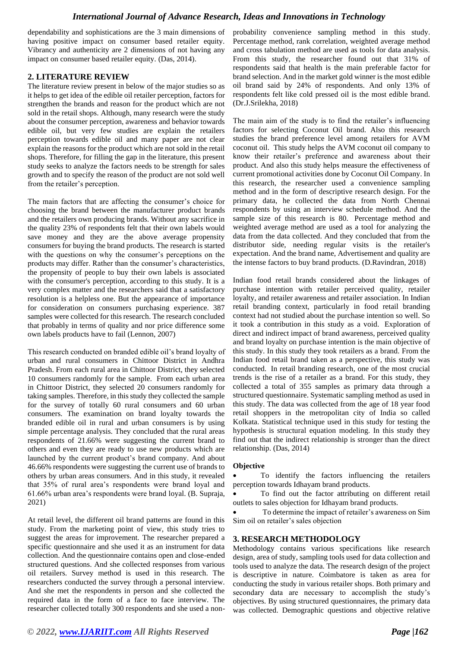# *International Journal of Advance Research, Ideas and Innovations in Technology*

dependability and sophistications are the 3 main dimensions of having positive impact on consumer based retailer equity. Vibrancy and authenticity are 2 dimensions of not having any impact on consumer based retailer equity. (Das, 2014).

## **2. LITERATURE REVIEW**

The literature review present in below of the major studies so as it helps to get idea of the edible oil retailer perception, factors for strengthen the brands and reason for the product which are not sold in the retail shops. Although, many research were the study about the consumer perception, awareness and behavior towards edible oil, but very few studies are explain the retailers perception towards edible oil and many paper are not clear explain the reasons for the product which are not sold in the retail shops. Therefore, for filling the gap in the literature, this present study seeks to analyze the factors needs to be strength for sales growth and to specify the reason of the product are not sold well from the retailer's perception.

The main factors that are affecting the consumer's choice for choosing the brand between the manufacturer product brands and the retailers own producing brands. Without any sacrifice in the quality 23% of respondents felt that their own labels would save money and they are the above average propensity consumers for buying the brand products. The research is started with the questions on why the consumer's perceptions on the products may differ. Rather than the consumer's characteristics, the propensity of people to buy their own labels is associated with the consumer's perception, according to this study. It is a very complex matter and the researchers said that a satisfactory resolution is a helpless one. But the appearance of importance for consideration on consumers purchasing experience. 387 samples were collected for this research. The research concluded that probably in terms of quality and nor price difference some own labels products have to fail (Lennon, 2007)

This research conducted on branded edible oil's brand loyalty of urban and rural consumers in Chittoor District in Andhra Pradesh. From each rural area in Chittoor District, they selected 10 consumers randomly for the sample. From each urban area in Chittoor District, they selected 20 consumers randomly for taking samples. Therefore, in this study they collected the sample for the survey of totally 60 rural consumers and 60 urban consumers. The examination on brand loyalty towards the branded edible oil in rural and urban consumers is by using simple percentage analysis. They concluded that the rural areas respondents of 21.66% were suggesting the current brand to others and even they are ready to use new products which are launched by the current product's brand company. And about 46.66% respondents were suggesting the current use of brands to others by urban areas consumers. And in this study, it revealed that 35% of rural area's respondents were brand loyal and 61.66% urban area's respondents were brand loyal. (B. Supraja, 2021)

At retail level, the different oil brand patterns are found in this study. From the marketing point of view, this study tries to suggest the areas for improvement. The researcher prepared a specific questionnaire and she used it as an instrument for data collection. And the questionnaire contains open and close-ended structured questions. And she collected responses from various oil retailers. Survey method is used in this research. The researchers conducted the survey through a personal interview. And she met the respondents in person and she collected the required data in the form of a face to face interview. The researcher collected totally 300 respondents and she used a nonprobability convenience sampling method in this study. Percentage method, rank correlation, weighted average method and cross tabulation method are used as tools for data analysis. From this study, the researcher found out that 31% of respondents said that health is the main preferable factor for brand selection. And in the market gold winner is the most edible oil brand said by 24% of respondents. And only 13% of respondents felt like cold pressed oil is the most edible brand. (Dr.J.Srilekha, 2018)

The main aim of the study is to find the retailer's influencing factors for selecting Coconut Oil brand. Also this research studies the brand preference level among retailers for AVM coconut oil. This study helps the AVM coconut oil company to know their retailer's preference and awareness about their product. And also this study helps measure the effectiveness of current promotional activities done by Coconut Oil Company. In this research, the researcher used a convenience sampling method and in the form of descriptive research design. For the primary data, he collected the data from North Chennai respondents by using an interview schedule method. And the sample size of this research is 80. Percentage method and weighted average method are used as a tool for analyzing the data from the data collected. And they concluded that from the distributor side, needing regular visits is the retailer's expectation. And the brand name, Advertisement and quality are the intense factors to buy brand products. (D.Ravindran, 2018)

Indian food retail brands considered about the linkages of purchase intention with retailer perceived quality, retailer loyalty, and retailer awareness and retailer association. In Indian retail branding context, particularly in food retail branding context had not studied about the purchase intention so well. So it took a contribution in this study as a void. Exploration of direct and indirect impact of brand awareness, perceived quality and brand loyalty on purchase intention is the main objective of this study. In this study they took retailers as a brand. From the Indian food retail brand taken as a perspective, this study was conducted. In retail branding research, one of the most crucial trends is the rise of a retailer as a brand. For this study, they collected a total of 355 samples as primary data through a structured questionnaire. Systematic sampling method as used in this study. The data was collected from the age of 18 year food retail shoppers in the metropolitan city of India so called Kolkata. Statistical technique used in this study for testing the hypothesis is structural equation modeling. In this study they find out that the indirect relationship is stronger than the direct relationship. (Das, 2014)

#### **Objective**

To identify the factors influencing the retailers perception towards Idhayam brand products.

To find out the factor attributing on different retail outlets to sales objection for Idhayam brand products.

• To determine the impact of retailer's awareness on Sim Sim oil on retailer's sales objection

#### **3. RESEARCH METHODOLOGY**

Methodology contains various specifications like research design, area of study, sampling tools used for data collection and tools used to analyze the data. The research design of the project is descriptive in nature. Coimbatore is taken as area for conducting the study in various retailer shops. Both primary and secondary data are necessary to accomplish the study's objectives. By using structured questionnaires, the primary data was collected. Demographic questions and objective relative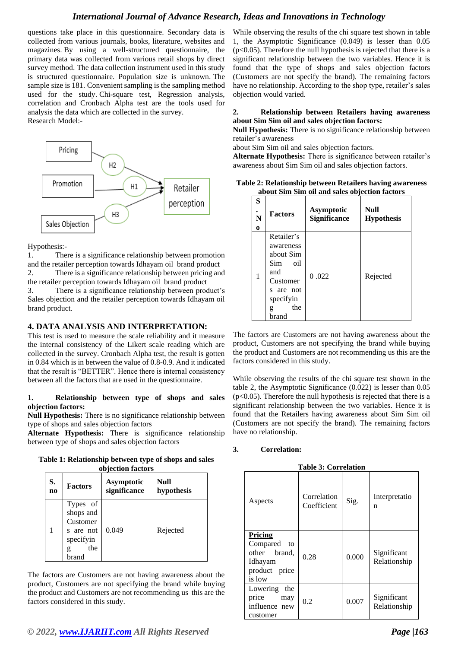# *International Journal of Advance Research, Ideas and Innovations in Technology*

questions take place in this questionnaire. Secondary data is collected from various journals, books, literature, websites and magazines. By using a well-structured questionnaire, the primary data was collected from various retail shops by direct survey method. The data collection instrument used in this study is structured questionnaire. Population size is unknown. The sample size is 181. Convenient sampling is the sampling method used for the study. Chi-square test, Regression analysis, correlation and Cronbach Alpha test are the tools used for analysis the data which are collected in the survey. Research Model:-



Hypothesis:-

1. There is a significance relationship between promotion and the retailer perception towards Idhayam oil brand product 2. There is a significance relationship between pricing and the retailer perception towards Idhayam oil brand product

3. There is a significance relationship between product's Sales objection and the retailer perception towards Idhayam oil brand product.

#### **4. DATA ANALYSIS AND INTERPRETATION:**

This test is used to measure the scale reliability and it measure the internal consistency of the Likert scale reading which are collected in the survey. Cronbach Alpha test, the result is gotten in 0.84 which is in between the value of 0.8-0.9. And it indicated that the result is "BETTER". Hence there is internal consistency between all the factors that are used in the questionnaire.

#### **1. Relationship between type of shops and sales objection factors:**

**Null Hypothesis:** There is no significance relationship between type of shops and sales objection factors

**Alternate Hypothesis:** There is significance relationship between type of shops and sales objection factors

**Table 1: Relationship between type of shops and sales objection factors**

| S.             | <b>Factors</b>                                                              | Asymptotic   | Null       |
|----------------|-----------------------------------------------------------------------------|--------------|------------|
| n <sub>0</sub> |                                                                             | significance | hypothesis |
|                | Types of<br>shops and<br>Customer<br>s are not<br>specifyin<br>the<br>brand | 0.049        | Rejected   |

The factors are Customers are not having awareness about the product, Customers are not specifying the brand while buying the product and Customers are not recommending us this are the factors considered in this study.

While observing the results of the chi square test shown in table 1, the Asymptotic Significance (0.049) is lesser than 0.05 (p<0.05). Therefore the null hypothesis is rejected that there is a significant relationship between the two variables. Hence it is found that the type of shops and sales objection factors (Customers are not specify the brand). The remaining factors have no relationship. According to the shop type, retailer's sales objection would varied.

#### **2. Relationship between Retailers having awareness about Sim Sim oil and sales objection factors:**

**Null Hypothesis:** There is no significance relationship between retailer's awareness

about Sim Sim oil and sales objection factors.

**Alternate Hypothesis:** There is significance between retailer's awareness about Sim Sim oil and sales objection factors.

| Table 2: Relationship between Retailers having awareness |  |
|----------------------------------------------------------|--|
| about Sim Sim oil and sales objection factors            |  |

| S<br>N<br>$\bf{0}$ | <b>Factors</b>                                                                                                       | <b>Asymptotic</b><br><b>Significance</b> | <b>Null</b><br><b>Hypothesis</b> |  |  |  |
|--------------------|----------------------------------------------------------------------------------------------------------------------|------------------------------------------|----------------------------------|--|--|--|
| 1                  | Retailer's<br>awareness<br>about Sim<br>Sim<br>oil<br>and<br>Customer<br>s are not<br>specifyin<br>the<br>g<br>brand | 0.022                                    | Rejected                         |  |  |  |

The factors are Customers are not having awareness about the product, Customers are not specifying the brand while buying the product and Customers are not recommending us this are the factors considered in this study.

While observing the results of the chi square test shown in the table 2, the Asymptotic Significance (0.022) is lesser than 0.05  $(p<0.05)$ . Therefore the null hypothesis is rejected that there is a significant relationship between the two variables. Hence it is found that the Retailers having awareness about Sim Sim oil (Customers are not specify the brand). The remaining factors have no relationship.

## **3. Correlation:**

**Table 3: Correlation**

| Aspects                                                                         | Correlation<br>Coefficient | Sig.  | Interpretatio<br>n          |  |  |
|---------------------------------------------------------------------------------|----------------------------|-------|-----------------------------|--|--|
| Pricing<br>Compared<br>to<br>other brand.<br>Idhayam<br>product price<br>is low | 0.28                       | 0.000 | Significant<br>Relationship |  |  |
| Lowering<br>the<br>price<br>may<br>influence new<br>customer                    | 0.2                        | 0.007 | Significant<br>Relationship |  |  |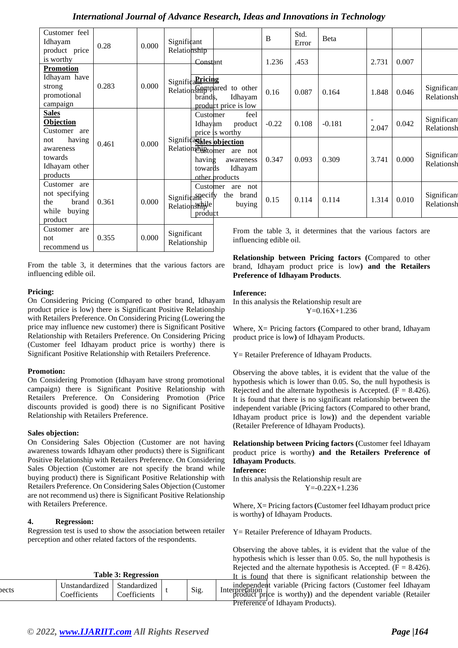| Customer feel<br>Idhayam                                                     | 0.28  | 0.000 | Significant<br>Relationship       |                     |                                                                                  | B       | Std.<br>Error | Beta                                                         |       |       |                           |
|------------------------------------------------------------------------------|-------|-------|-----------------------------------|---------------------|----------------------------------------------------------------------------------|---------|---------------|--------------------------------------------------------------|-------|-------|---------------------------|
| product price                                                                |       |       |                                   |                     |                                                                                  |         |               |                                                              |       |       |                           |
| is worthy<br><b>Promotion</b>                                                |       |       |                                   | Constant            |                                                                                  | 1.236   | .453          |                                                              | 2.731 | 0.007 |                           |
| Idhayam have<br>strong<br>promotional<br>campaign                            | 0.283 | 0.000 | Significanticing                  | brands,             | Relation Shippared to other<br>Idhayam<br>product price is low                   | 0.16    | 0.087         | 0.164                                                        | 1.848 | 0.046 | Significant<br>Relationsh |
| <b>Sales</b><br><b>Objection</b><br>Customer are                             | 0.461 | 0.000 | Relationshiptomer                 | Customer<br>Idhayam | feel<br>product<br>price is worthy                                               | $-0.22$ | 0.108         | $-0.181$                                                     | 2.047 | 0.042 | Significant<br>Relationsh |
| having<br>not<br>awareness<br>towards<br>Idhayam other<br>products           |       |       |                                   | having<br>towards   | Significantles objection<br>are<br>not<br>awareness<br>Idhayam<br>other products | 0.347   | 0.093         | 0.309                                                        | 3.741 | 0.000 | Significant<br>Relationsh |
| Customer are<br>not specifying<br>the<br>brand<br>while<br>buying<br>product | 0.361 | 0.000 | Significanecify<br>Relationshiple | Customer<br>product | are<br>not<br>the<br>brand<br>buying                                             | 0.15    | 0.114         | 0.114                                                        | 1.314 | 0.010 | Significant<br>Relationsh |
| Customer<br>are<br>not<br>recommend us                                       | 0.355 | 0.000 | Significant<br>Relationship       |                     | influencing edible oil.                                                          |         |               | From the table 3, it determines that the various factors are |       |       |                           |

From the table 3, it determines that the various factors are influencing edible oil.

# **Pricing:**

On Considering Pricing (Compared to other brand, Idhayam product price is low) there is Significant Positive Relationship with Retailers Preference. On Considering Pricing (Lowering the price may influence new customer) there is Significant Positive Relationship with Retailers Preference. On Considering Pricing (Customer feel Idhayam product price is worthy) there is Significant Positive Relationship with Retailers Preference.

# **Promotion:**

On Considering Promotion (Idhayam have strong promotional campaign) there is Significant Positive Relationship with Retailers Preference. On Considering Promotion (Price discounts provided is good) there is no Significant Positive Relationship with Retailers Preference.

# **Sales objection:**

On Considering Sales Objection (Customer are not having awareness towards Idhayam other products) there is Significant Positive Relationship with Retailers Preference. On Considering Sales Objection (Customer are not specify the brand while buying product) there is Significant Positive Relationship with Retailers Preference. On Considering Sales Objection (Customer are not recommend us) there is Significant Positive Relationship with Retailers Preference.

# **4. Regression:**

 $\sum_{n=1}^{\infty}$  Unstandardized

Coefficients

Regression test is used to show the association between retailer perception and other related factors of the respondents.

**Table 3: Regression**

Standardized

**Relationship between Pricing factors (**Compared to other brand, Idhayam product price is low**) and the Retailers Preference of Idhayam Products**.

## **Inference:**

In this analysis the Relationship result are Y=0.16X+1.236

Where, X= Pricing factors **(**Compared to other brand, Idhayam product price is low**)** of Idhayam Products.

Y= Retailer Preference of Idhayam Products.

Observing the above tables, it is evident that the value of the hypothesis which is lower than 0.05. So, the null hypothesis is Rejected and the alternate hypothesis is Accepted.  $(F = 8.426)$ . It is found that there is no significant relationship between the independent variable (Pricing factors (Compared to other brand, Idhayam product price is low**)**) and the dependent variable (Retailer Preference of Idhayam Products).

**Relationship between Pricing factors (**Customer feel Idhayam product price is worthy**) and the Retailers Preference of Idhayam Products**.

#### **Inference:**

In this analysis the Relationship result are Y=-0.22X+1.236

Where, X= Pricing factors **(**Customer feel Idhayam product price is worthy**)** of Idhayam Products.

Y= Retailer Preference of Idhayam Products.

 $\text{Coefficients}$  t Sig. Interpretation  $\text{trivial}$  variable (The dependent variable (Retailer Observing the above tables, it is evident that the value of the hypothesis which is lesser than 0.05. So, the null hypothesis is Rejected and the alternate hypothesis is Accepted.  $(F = 8.426)$ . It is found that there is significant relationship between the independent variable (Pricing factors (Customer feel Idhayam **Preference** of Idhayam Products).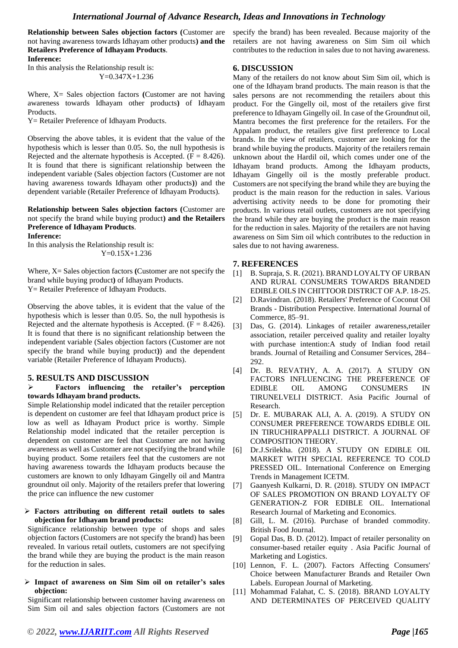**Relationship between Sales objection factors (**Customer are not having awareness towards Idhayam other products**) and the Retailers Preference of Idhayam Products**. **Inference:** 

In this analysis the Relationship result is: Y=0.347X+1.236

Where, X= Sales objection factors **(**Customer are not having awareness towards Idhayam other products**)** of Idhayam Products.

Y= Retailer Preference of Idhayam Products.

Observing the above tables, it is evident that the value of the hypothesis which is lesser than 0.05. So, the null hypothesis is Rejected and the alternate hypothesis is Accepted.  $(F = 8.426)$ . It is found that there is significant relationship between the independent variable (Sales objection factors (Customer are not having awareness towards Idhayam other products**)**) and the dependent variable (Retailer Preference of Idhayam Products).

**Relationship between Sales objection factors (**Customer are not specify the brand while buying product**) and the Retailers Preference of Idhayam Products**. **Inference:** 

In this analysis the Relationship result is: Y=0.15X+1.236

Where, X= Sales objection factors **(**Customer are not specify the brand while buying product**)** of Idhayam Products. Y= Retailer Preference of Idhayam Products.

Observing the above tables, it is evident that the value of the hypothesis which is lesser than 0.05. So, the null hypothesis is Rejected and the alternate hypothesis is Accepted.  $(F = 8.426)$ . It is found that there is no significant relationship between the independent variable (Sales objection factors (Customer are not specify the brand while buying product**)**) and the dependent variable (Retailer Preference of Idhayam Products).

# **5. RESULTS AND DISCUSSION**

#### ➢ **Factors influencing the retailer's perception towards Idhayam brand products.**

Simple Relationship model indicated that the retailer perception is dependent on customer are feel that Idhayam product price is low as well as Idhayam Product price is worthy. Simple Relationship model indicated that the retailer perception is dependent on customer are feel that Customer are not having awareness as well as Customer are not specifying the brand while buying product. Some retailers feel that the customers are not having awareness towards the Idhayam products because the customers are known to only Idhayam Gingelly oil and Mantra groundnut oil only. Majority of the retailers prefer that lowering the price can influence the new customer

#### ➢ **Factors attributing on different retail outlets to sales objection for Idhayam brand products:**

Significance relationship between type of shops and sales objection factors (Customers are not specify the brand) has been revealed. In various retail outlets, customers are not specifying the brand while they are buying the product is the main reason for the reduction in sales.

#### ➢ **Impact of awareness on Sim Sim oil on retailer's sales objection:**

Significant relationship between customer having awareness on Sim Sim oil and sales objection factors (Customers are not

specify the brand) has been revealed. Because majority of the retailers are not having awareness on Sim Sim oil which contributes to the reduction in sales due to not having awareness.

## **6. DISCUSSION**

Many of the retailers do not know about Sim Sim oil, which is one of the Idhayam brand products. The main reason is that the sales persons are not recommending the retailers about this product. For the Gingelly oil, most of the retailers give first preference to Idhayam Gingelly oil. In case of the Groundnut oil, Mantra becomes the first preference for the retailers. For the Appalam product, the retailers give first preference to Local brands. In the view of retailers, customer are looking for the brand while buying the products. Majority of the retailers remain unknown about the Hardil oil, which comes under one of the Idhayam brand products. Among the Idhayam products, Idhayam Gingelly oil is the mostly preferable product. Customers are not specifying the brand while they are buying the product is the main reason for the reduction in sales. Various advertising activity needs to be done for promoting their products. In various retail outlets, customers are not specifying the brand while they are buying the product is the main reason for the reduction in sales. Majority of the retailers are not having awareness on Sim Sim oil which contributes to the reduction in sales due to not having awareness.

## **7. REFERENCES**

- [1] B. Supraja, S. R. (2021). BRAND LOYALTY OF URBAN AND RURAL CONSUMERS TOWARDS BRANDED EDIBLE OILS IN CHITTOOR DISTRICT OF A.P. 18-25.
- [2] D.Ravindran. (2018). Retailers' Preference of Coconut Oil Brands - Distribution Perspective. International Journal of Commerce, 85–91.
- [3] Das, G. (2014). Linkages of retailer awareness,retailer association, retailer perceived quality and retailer loyalty with purchase intention:A study of Indian food retail brands. Journal of Retailing and Consumer Services, 284– 292.
- [4] Dr. B. REVATHY, A. A. (2017). A STUDY ON FACTORS INFLUENCING THE PREFERENCE OF EDIBLE OIL AMONG CONSUMERS IN TIRUNELVELI DISTRICT. Asia Pacific Journal of Research.
- [5] Dr. E. MUBARAK ALI, A. A. (2019). A STUDY ON CONSUMER PREFERENCE TOWARDS EDIBLE OIL IN TIRUCHIRAPPALLI DISTRICT. A JOURNAL OF COMPOSITION THEORY.
- [6] Dr.J.Srilekha. (2018). A STUDY ON EDIBLE OIL MARKET WITH SPECIAL REFERENCE TO COLD PRESSED OIL. International Conference on Emerging Trends in Management ICETM.
- [7] Gaanyesh Kulkarni, D. R. (2018). STUDY ON IMPACT OF SALES PROMOTION ON BRAND LOYALTY OF GENERATION-Z FOR EDIBLE OIL. International Research Journal of Marketing and Economics.
- [8] Gill, L. M. (2016). Purchase of branded commodity. British Food Journal.
- [9] Gopal Das, B. D. (2012). Impact of retailer personality on consumer-based retailer equity . Asia Pacific Journal of Marketing and Logistics.
- [10] Lennon, F. L. (2007). Factors Affecting Consumers' Choice between Manufacturer Brands and Retailer Own Labels. European Journal of Marketing.
- [11] Mohammad Falahat, C. S. (2018). BRAND LOYALTY AND DETERMINATES OF PERCEIVED QUALITY